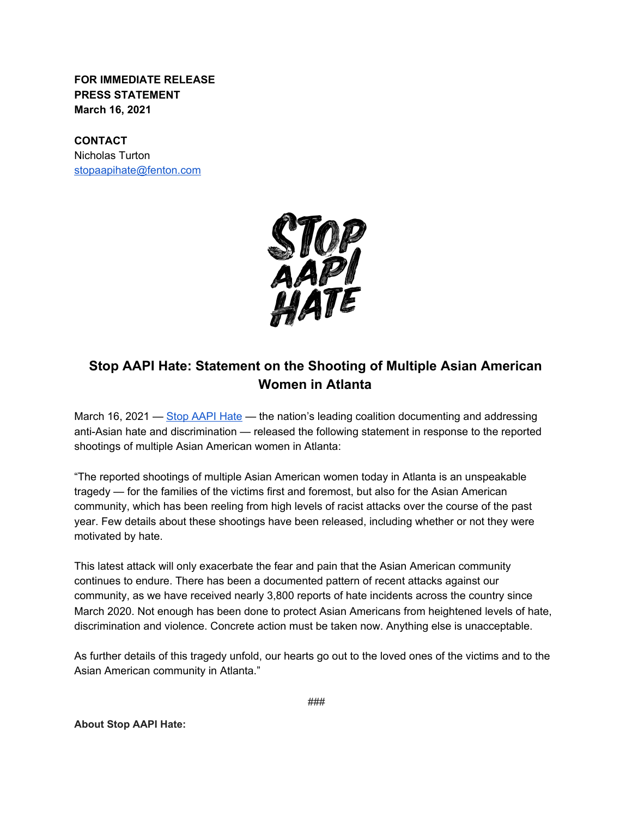**FOR IMMEDIATE RELEASE PRESS STATEMENT March 16, 2021**

## **CONTACT**

Nicholas Turton [stopaapihate@fenton.com](mailto:stopaapihate@fenton.com)



## **Stop AAPI Hate: Statement on the Shooting of Multiple Asian American Women in Atlanta**

March 16, 2021 [—](https://stopaapihate.org/) [Stop AAPI Hate](https://stopaapihate.org/) — the nation's leading coalition documenting and addressing anti-Asian hate and discrimination — released the following statement in response to the reported shootings of multiple Asian American women in Atlanta:

"The reported shootings of multiple Asian American women today in Atlanta is an unspeakable tragedy — for the families of the victims first and foremost, but also for the Asian American community, which has been reeling from high levels of racist attacks over the course of the past year. Few details about these shootings have been released, including whether or not they were motivated by hate.

This latest attack will only exacerbate the fear and pain that the Asian American community continues to endure. There has been a documented pattern of recent attacks against our community, as we have received nearly 3,800 reports of hate incidents across the country since March 2020. Not enough has been done to protect Asian Americans from heightened levels of hate, discrimination and violence. Concrete action must be taken now. Anything else is unacceptable.

As further details of this tragedy unfold, our hearts go out to the loved ones of the victims and to the Asian American community in Atlanta."

**About Stop AAPI Hate:**